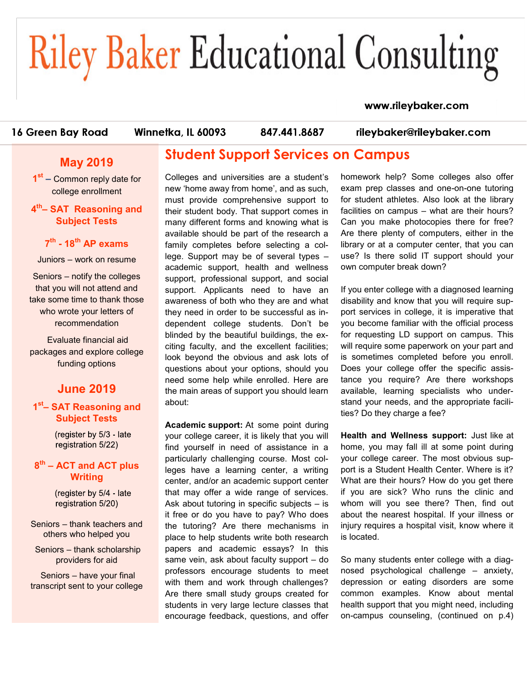# **Riley Baker Educational Consulting**

#### www.rileybaker.com

16 Green Bay Road

Winnetka, IL 60093

847.441.8687

rileybaker@rileybaker.com

## **May 2019**

**1 st –** Common reply date for college enrollment

#### **4 th – SAT Reasoning and Subject Tests**

#### **7 th - 18th AP exams**

Juniors – work on resume

Seniors – notify the colleges that you will not attend and take some time to thank those who wrote your letters of recommendation

Evaluate financial aid packages and explore college funding options

### **June 2019**

#### **1 st – SAT Reasoning and Subject Tests**

(register by 5/3 - late) registration 5/22)

#### **8 th – ACT and ACT plus Writing**

(register by 5/4 - late) registration 5/20)

Seniors – thank teachers and others who helped you

Seniors – thank scholarship providers for aid

Seniors – have your final transcript sent to your college

## **Student Support Services on Campus**

Colleges and universities are a student's new 'home away from home', and as such, must provide comprehensive support to their student body. That support comes in many different forms and knowing what is available should be part of the research a family completes before selecting a college. Support may be of several types – academic support, health and wellness support, professional support, and social support. Applicants need to have an awareness of both who they are and what they need in order to be successful as independent college students. Don't be blinded by the beautiful buildings, the exciting faculty, and the excellent facilities; look beyond the obvious and ask lots of questions about your options, should you need some help while enrolled. Here are the main areas of support you should learn about:

**Academic support:** At some point during your college career, it is likely that you will find yourself in need of assistance in a particularly challenging course. Most colleges have a learning center, a writing center, and/or an academic support center that may offer a wide range of services. Ask about tutoring in specific subjects – is it free or do you have to pay? Who does the tutoring? Are there mechanisms in place to help students write both research papers and academic essays? In this same vein, ask about faculty support - do professors encourage students to meet with them and work through challenges? Are there small study groups created for students in very large lecture classes that encourage feedback, questions, and offer

homework help? Some colleges also offer exam prep classes and one-on-one tutoring for student athletes. Also look at the library facilities on campus – what are their hours? Can you make photocopies there for free? Are there plenty of computers, either in the library or at a computer center, that you can use? Is there solid IT support should your own computer break down?

If you enter college with a diagnosed learning disability and know that you will require support services in college, it is imperative that you become familiar with the official process for requesting LD support on campus. This will require some paperwork on your part and is sometimes completed before you enroll. Does your college offer the specific assistance you require? Are there workshops available, learning specialists who understand your needs, and the appropriate facilities? Do they charge a fee?

**Health and Wellness support:** Just like at home, you may fall ill at some point during your college career. The most obvious support is a Student Health Center. Where is it? What are their hours? How do you get there if you are sick? Who runs the clinic and whom will you see there? Then, find out about the nearest hospital. If your illness or injury requires a hospital visit, know where it is located.

So many students enter college with a diagnosed psychological challenge – anxiety, depression or eating disorders are some common examples. Know about mental health support that you might need, including on-campus counseling, (continued on p.4)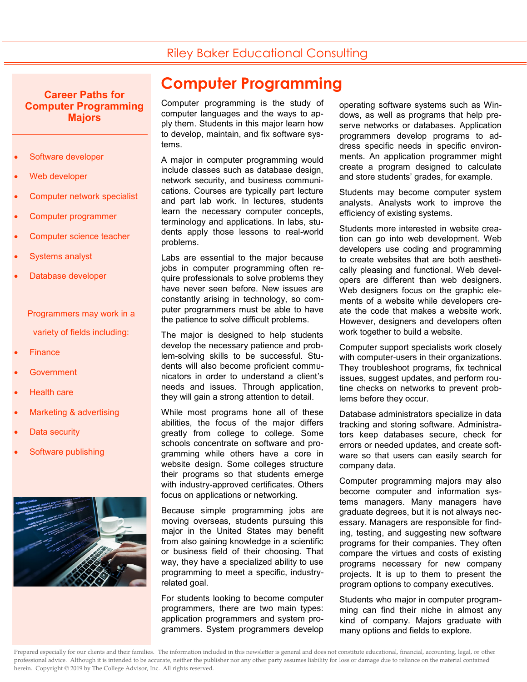## Riley Baker Educational Consulting

#### **Career Paths for Computer Programming Majors**

- Software developer
- Web developer
- Computer network specialist
- Computer programmer
- Computer science teacher
- Systems analyst
- Database developer

## Programmers may work in a variety of fields including:

- **Finance**
- **Government**
- **Health care**
- Marketing & advertising
- Data security
- Software publishing



# **Computer Programming**

Computer programming is the study of computer languages and the ways to apply them. Students in this major learn how to develop, maintain, and fix software systems.

A major in computer programming would include classes such as database design, network security, and business communications. Courses are typically part lecture and part lab work. In lectures, students learn the necessary computer concepts, terminology and applications. In labs, students apply those lessons to real-world problems.

Labs are essential to the major because jobs in computer programming often require professionals to solve problems they have never seen before. New issues are constantly arising in technology, so computer programmers must be able to have the patience to solve difficult problems.

The major is designed to help students develop the necessary patience and problem-solving skills to be successful. Students will also become proficient communicators in order to understand a client's needs and issues. Through application, they will gain a strong attention to detail.

While most programs hone all of these abilities, the focus of the major differs greatly from college to college. Some schools concentrate on software and programming while others have a core in website design. Some colleges structure their programs so that students emerge with industry-approved certificates. Others focus on applications or networking.

Because simple programming jobs are moving overseas, students pursuing this major in the United States may benefit from also gaining knowledge in a scientific or business field of their choosing. That way, they have a specialized ability to use programming to meet a specific, industryrelated goal.

For students looking to become computer programmers, there are two main types: application programmers and system programmers. System programmers develop

operating software systems such as Windows, as well as programs that help preserve networks or databases. Application programmers develop programs to address specific needs in specific environments. An application programmer might create a program designed to calculate and store students' grades, for example.

Students may become computer system analysts. Analysts work to improve the efficiency of existing systems.

Students more interested in website creation can go into web development. Web developers use coding and programming to create websites that are both aesthetically pleasing and functional. Web developers are different than web designers. Web designers focus on the graphic elements of a website while developers create the code that makes a website work. However, designers and developers often work together to build a website.

Computer support specialists work closely with computer-users in their organizations. They troubleshoot programs, fix technical issues, suggest updates, and perform routine checks on networks to prevent problems before they occur.

Database administrators specialize in data tracking and storing software. Administrators keep databases secure, check for errors or needed updates, and create software so that users can easily search for company data.

Computer programming majors may also become computer and information systems managers. Many managers have graduate degrees, but it is not always necessary. Managers are responsible for finding, testing, and suggesting new software programs for their companies. They often compare the virtues and costs of existing programs necessary for new company projects. It is up to them to present the program options to company executives.

Students who major in computer programming can find their niche in almost any kind of company. Majors graduate with many options and fields to explore.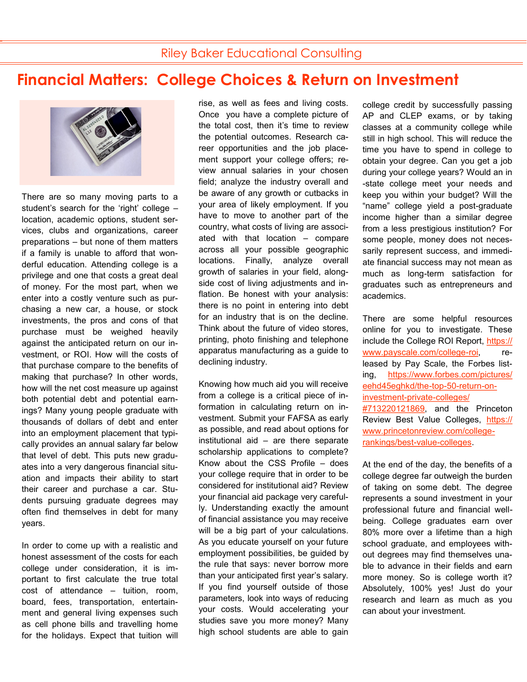# **Financial Matters: College Choices & Return on Investment**



There are so many moving parts to a student's search for the 'right' college – location, academic options, student services, clubs and organizations, career preparations – but none of them matters if a family is unable to afford that wonderful education. Attending college is a privilege and one that costs a great deal of money. For the most part, when we enter into a costly venture such as purchasing a new car, a house, or stock investments, the pros and cons of that purchase must be weighed heavily against the anticipated return on our investment, or ROI. How will the costs of that purchase compare to the benefits of making that purchase? In other words, how will the net cost measure up against both potential debt and potential earnings? Many young people graduate with thousands of dollars of debt and enter into an employment placement that typically provides an annual salary far below that level of debt. This puts new graduates into a very dangerous financial situation and impacts their ability to start their career and purchase a car. Students pursuing graduate degrees may often find themselves in debt for many years.

In order to come up with a realistic and honest assessment of the costs for each college under consideration, it is important to first calculate the true total cost of attendance – tuition, room, board, fees, transportation, entertainment and general living expenses such as cell phone bills and travelling home for the holidays. Expect that tuition will rise, as well as fees and living costs. Once you have a complete picture of the total cost, then it's time to review the potential outcomes. Research career opportunities and the job placement support your college offers; review annual salaries in your chosen field; analyze the industry overall and be aware of any growth or cutbacks in your area of likely employment. If you have to move to another part of the country, what costs of living are associated with that location – compare across all your possible geographic locations. Finally, analyze overall growth of salaries in your field, alongside cost of living adjustments and inflation. Be honest with your analysis: there is no point in entering into debt for an industry that is on the decline. Think about the future of video stores, printing, photo finishing and telephone apparatus manufacturing as a guide to declining industry.

Knowing how much aid you will receive from a college is a critical piece of information in calculating return on investment. Submit your FAFSA as early as possible, and read about options for institutional aid – are there separate scholarship applications to complete? Know about the CSS Profile – does your college require that in order to be considered for institutional aid? Review your financial aid package very carefully. Understanding exactly the amount of financial assistance you may receive will be a big part of your calculations. As you educate yourself on your future employment possibilities, be guided by the rule that says: never borrow more than your anticipated first year's salary. If you find yourself outside of those parameters, look into ways of reducing your costs. Would accelerating your studies save you more money? Many high school students are able to gain

college credit by successfully passing AP and CLEP exams, or by taking classes at a community college while still in high school. This will reduce the time you have to spend in college to obtain your degree. Can you get a job during your college years? Would an in -state college meet your needs and keep you within your budget? Will the "name" college yield a post-graduate income higher than a similar degree from a less prestigious institution? For some people, money does not necessarily represent success, and immediate financial success may not mean as much as long-term satisfaction for graduates such as entrepreneurs and academics.

There are some helpful resources online for you to investigate. These include the College ROI Report, [https://](https://www.payscale.com/college-roi) [www.payscale.com/college](https://www.payscale.com/college-roi)-roi, released by Pay Scale, the Forbes listing, [https://www.forbes.com/pictures/](https://www.forbes.com/pictures/eehd45eghkd/the-top-50-return-on-investment-private-colleges/#713220121869) [eehd45eghkd/the](https://www.forbes.com/pictures/eehd45eghkd/the-top-50-return-on-investment-private-colleges/#713220121869)-top-50-return-on[investment](https://www.forbes.com/pictures/eehd45eghkd/the-top-50-return-on-investment-private-colleges/#713220121869)-private-colleges/ [#713220121869,](https://www.forbes.com/pictures/eehd45eghkd/the-top-50-return-on-investment-private-colleges/#713220121869) and the Princeton Review Best Value Colleges, [https://](https://www.princetonreview.com/college-rankings/best-value-colleges) [www.princetonreview.com/college](https://www.princetonreview.com/college-rankings/best-value-colleges)[rankings/best](https://www.princetonreview.com/college-rankings/best-value-colleges)-value-colleges.

At the end of the day, the benefits of a college degree far outweigh the burden of taking on some debt. The degree represents a sound investment in your professional future and financial wellbeing. College graduates earn over 80% more over a lifetime than a high school graduate, and employees without degrees may find themselves unable to advance in their fields and earn more money. So is college worth it? Absolutely, 100% yes! Just do your research and learn as much as you can about your investment.